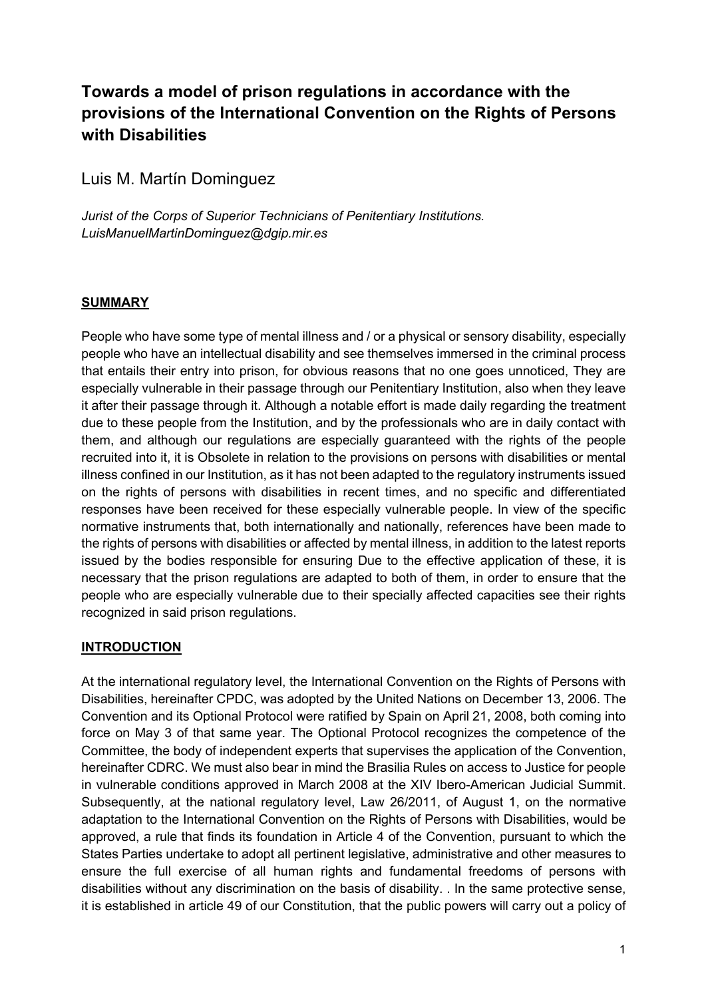# **Towards a model of prison regulations in accordance with the provisions of the International Convention on the Rights of Persons with Disabilities**

Luis M. Martín Dominguez

*Jurist of the Corps of Superior Technicians of Penitentiary Institutions. LuisManuelMartinDominguez@dgip.mir.es*

### **SUMMARY**

People who have some type of mental illness and / or a physical or sensory disability, especially people who have an intellectual disability and see themselves immersed in the criminal process that entails their entry into prison, for obvious reasons that no one goes unnoticed, They are especially vulnerable in their passage through our Penitentiary Institution, also when they leave it after their passage through it. Although a notable effort is made daily regarding the treatment due to these people from the Institution, and by the professionals who are in daily contact with them, and although our regulations are especially guaranteed with the rights of the people recruited into it, it is Obsolete in relation to the provisions on persons with disabilities or mental illness confined in our Institution, as it has not been adapted to the regulatory instruments issued on the rights of persons with disabilities in recent times, and no specific and differentiated responses have been received for these especially vulnerable people. In view of the specific normative instruments that, both internationally and nationally, references have been made to the rights of persons with disabilities or affected by mental illness, in addition to the latest reports issued by the bodies responsible for ensuring Due to the effective application of these, it is necessary that the prison regulations are adapted to both of them, in order to ensure that the people who are especially vulnerable due to their specially affected capacities see their rights recognized in said prison regulations.

#### **INTRODUCTION**

At the international regulatory level, the International Convention on the Rights of Persons with Disabilities, hereinafter CPDC, was adopted by the United Nations on December 13, 2006. The Convention and its Optional Protocol were ratified by Spain on April 21, 2008, both coming into force on May 3 of that same year. The Optional Protocol recognizes the competence of the Committee, the body of independent experts that supervises the application of the Convention, hereinafter CDRC. We must also bear in mind the Brasilia Rules on access to Justice for people in vulnerable conditions approved in March 2008 at the XIV Ibero-American Judicial Summit. Subsequently, at the national regulatory level, Law 26/2011, of August 1, on the normative adaptation to the International Convention on the Rights of Persons with Disabilities, would be approved, a rule that finds its foundation in Article 4 of the Convention, pursuant to which the States Parties undertake to adopt all pertinent legislative, administrative and other measures to ensure the full exercise of all human rights and fundamental freedoms of persons with disabilities without any discrimination on the basis of disability. . In the same protective sense, it is established in article 49 of our Constitution, that the public powers will carry out a policy of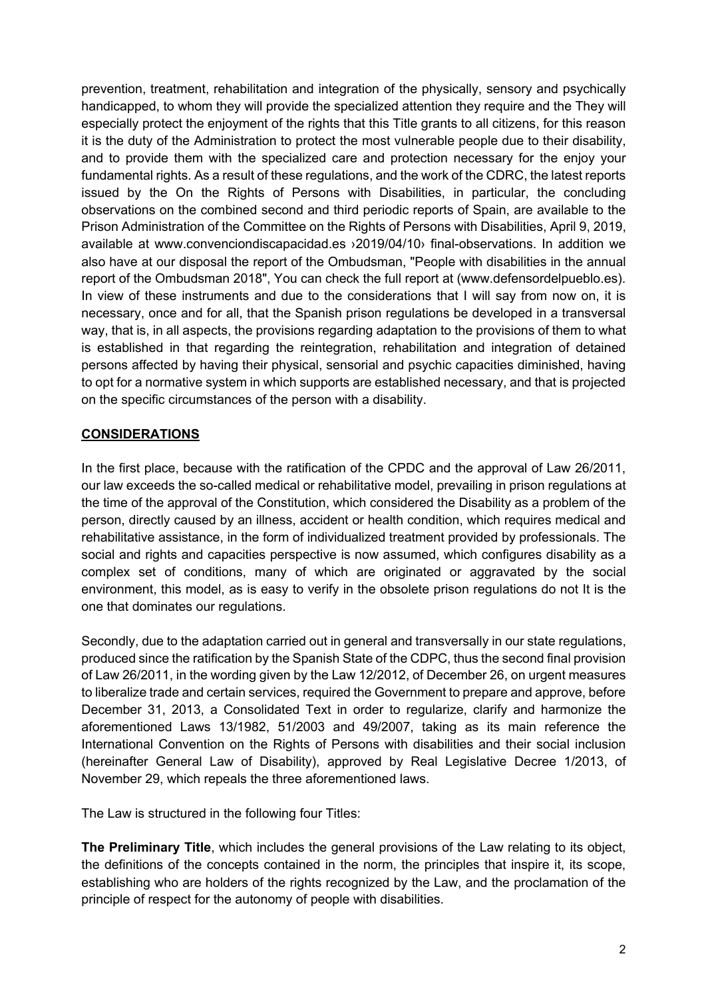prevention, treatment, rehabilitation and integration of the physically, sensory and psychically handicapped, to whom they will provide the specialized attention they require and the They will especially protect the enjoyment of the rights that this Title grants to all citizens, for this reason it is the duty of the Administration to protect the most vulnerable people due to their disability, and to provide them with the specialized care and protection necessary for the enjoy your fundamental rights. As a result of these regulations, and the work of the CDRC, the latest reports issued by the On the Rights of Persons with Disabilities, in particular, the concluding observations on the combined second and third periodic reports of Spain, are available to the Prison Administration of the Committee on the Rights of Persons with Disabilities, April 9, 2019, available at www.convenciondiscapacidad.es ›2019/04/10› final-observations. In addition we also have at our disposal the report of the Ombudsman, "People with disabilities in the annual report of the Ombudsman 2018", You can check the full report at (www.defensordelpueblo.es). In view of these instruments and due to the considerations that I will say from now on, it is necessary, once and for all, that the Spanish prison regulations be developed in a transversal way, that is, in all aspects, the provisions regarding adaptation to the provisions of them to what is established in that regarding the reintegration, rehabilitation and integration of detained persons affected by having their physical, sensorial and psychic capacities diminished, having to opt for a normative system in which supports are established necessary, and that is projected on the specific circumstances of the person with a disability.

### **CONSIDERATIONS**

In the first place, because with the ratification of the CPDC and the approval of Law 26/2011, our law exceeds the so-called medical or rehabilitative model, prevailing in prison regulations at the time of the approval of the Constitution, which considered the Disability as a problem of the person, directly caused by an illness, accident or health condition, which requires medical and rehabilitative assistance, in the form of individualized treatment provided by professionals. The social and rights and capacities perspective is now assumed, which configures disability as a complex set of conditions, many of which are originated or aggravated by the social environment, this model, as is easy to verify in the obsolete prison regulations do not It is the one that dominates our regulations.

Secondly, due to the adaptation carried out in general and transversally in our state regulations, produced since the ratification by the Spanish State of the CDPC, thus the second final provision of Law 26/2011, in the wording given by the Law 12/2012, of December 26, on urgent measures to liberalize trade and certain services, required the Government to prepare and approve, before December 31, 2013, a Consolidated Text in order to regularize, clarify and harmonize the aforementioned Laws 13/1982, 51/2003 and 49/2007, taking as its main reference the International Convention on the Rights of Persons with disabilities and their social inclusion (hereinafter General Law of Disability), approved by Real Legislative Decree 1/2013, of November 29, which repeals the three aforementioned laws.

The Law is structured in the following four Titles:

**The Preliminary Title**, which includes the general provisions of the Law relating to its object, the definitions of the concepts contained in the norm, the principles that inspire it, its scope, establishing who are holders of the rights recognized by the Law, and the proclamation of the principle of respect for the autonomy of people with disabilities.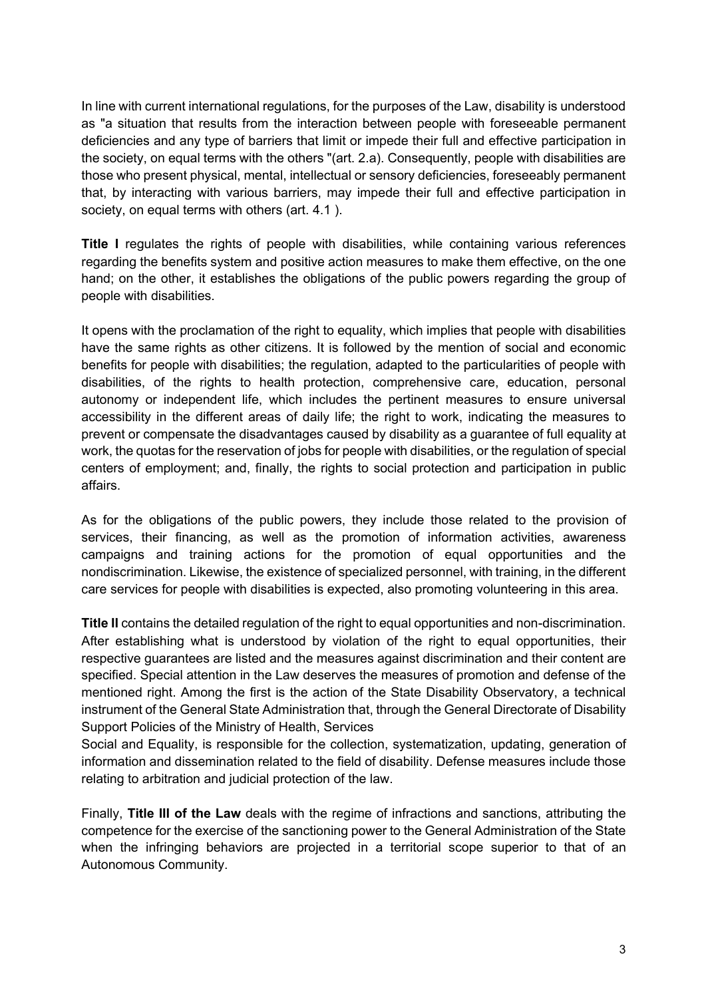In line with current international regulations, for the purposes of the Law, disability is understood as "a situation that results from the interaction between people with foreseeable permanent deficiencies and any type of barriers that limit or impede their full and effective participation in the society, on equal terms with the others "(art. 2.a). Consequently, people with disabilities are those who present physical, mental, intellectual or sensory deficiencies, foreseeably permanent that, by interacting with various barriers, may impede their full and effective participation in society, on equal terms with others (art. 4.1 ).

**Title I** regulates the rights of people with disabilities, while containing various references regarding the benefits system and positive action measures to make them effective, on the one hand; on the other, it establishes the obligations of the public powers regarding the group of people with disabilities.

It opens with the proclamation of the right to equality, which implies that people with disabilities have the same rights as other citizens. It is followed by the mention of social and economic benefits for people with disabilities; the regulation, adapted to the particularities of people with disabilities, of the rights to health protection, comprehensive care, education, personal autonomy or independent life, which includes the pertinent measures to ensure universal accessibility in the different areas of daily life; the right to work, indicating the measures to prevent or compensate the disadvantages caused by disability as a guarantee of full equality at work, the quotas for the reservation of jobs for people with disabilities, or the regulation of special centers of employment; and, finally, the rights to social protection and participation in public affairs.

As for the obligations of the public powers, they include those related to the provision of services, their financing, as well as the promotion of information activities, awareness campaigns and training actions for the promotion of equal opportunities and the nondiscrimination. Likewise, the existence of specialized personnel, with training, in the different care services for people with disabilities is expected, also promoting volunteering in this area.

**Title II** contains the detailed regulation of the right to equal opportunities and non-discrimination. After establishing what is understood by violation of the right to equal opportunities, their respective guarantees are listed and the measures against discrimination and their content are specified. Special attention in the Law deserves the measures of promotion and defense of the mentioned right. Among the first is the action of the State Disability Observatory, a technical instrument of the General State Administration that, through the General Directorate of Disability Support Policies of the Ministry of Health, Services

Social and Equality, is responsible for the collection, systematization, updating, generation of information and dissemination related to the field of disability. Defense measures include those relating to arbitration and judicial protection of the law.

Finally, **Title III of the Law** deals with the regime of infractions and sanctions, attributing the competence for the exercise of the sanctioning power to the General Administration of the State when the infringing behaviors are projected in a territorial scope superior to that of an Autonomous Community.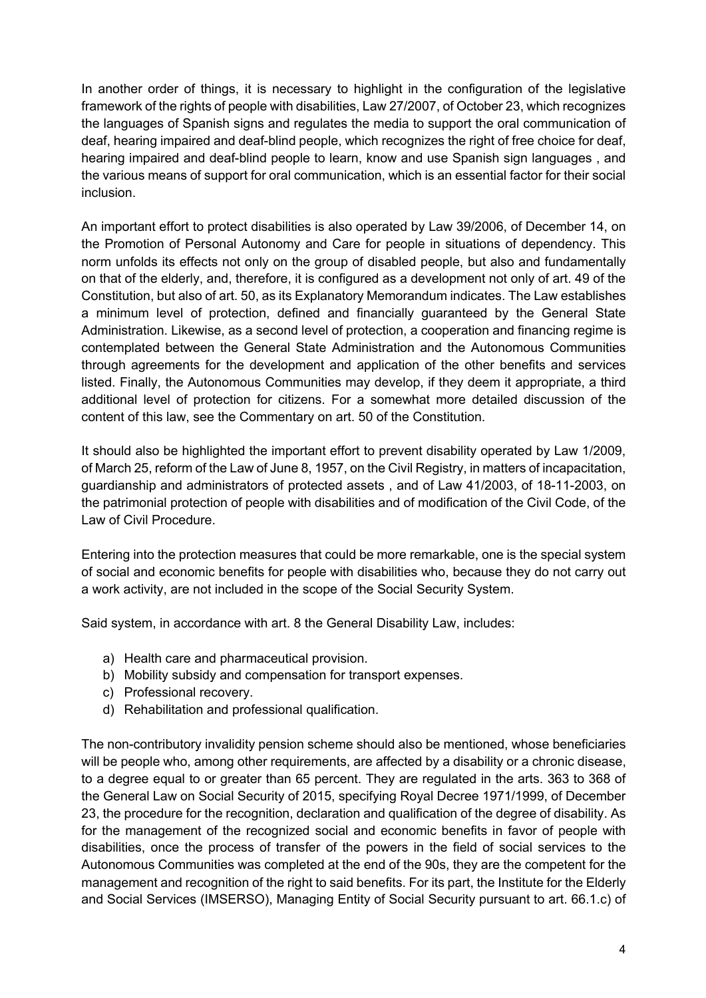In another order of things, it is necessary to highlight in the configuration of the legislative framework of the rights of people with disabilities, Law 27/2007, of October 23, which recognizes the languages of Spanish signs and regulates the media to support the oral communication of deaf, hearing impaired and deaf-blind people, which recognizes the right of free choice for deaf, hearing impaired and deaf-blind people to learn, know and use Spanish sign languages , and the various means of support for oral communication, which is an essential factor for their social inclusion.

An important effort to protect disabilities is also operated by Law 39/2006, of December 14, on the Promotion of Personal Autonomy and Care for people in situations of dependency. This norm unfolds its effects not only on the group of disabled people, but also and fundamentally on that of the elderly, and, therefore, it is configured as a development not only of art. 49 of the Constitution, but also of art. 50, as its Explanatory Memorandum indicates. The Law establishes a minimum level of protection, defined and financially guaranteed by the General State Administration. Likewise, as a second level of protection, a cooperation and financing regime is contemplated between the General State Administration and the Autonomous Communities through agreements for the development and application of the other benefits and services listed. Finally, the Autonomous Communities may develop, if they deem it appropriate, a third additional level of protection for citizens. For a somewhat more detailed discussion of the content of this law, see the Commentary on art. 50 of the Constitution.

It should also be highlighted the important effort to prevent disability operated by Law 1/2009, of March 25, reform of the Law of June 8, 1957, on the Civil Registry, in matters of incapacitation, guardianship and administrators of protected assets , and of Law 41/2003, of 18-11-2003, on the patrimonial protection of people with disabilities and of modification of the Civil Code, of the Law of Civil Procedure.

Entering into the protection measures that could be more remarkable, one is the special system of social and economic benefits for people with disabilities who, because they do not carry out a work activity, are not included in the scope of the Social Security System.

Said system, in accordance with art. 8 the General Disability Law, includes:

- a) Health care and pharmaceutical provision.
- b) Mobility subsidy and compensation for transport expenses.
- c) Professional recovery.
- d) Rehabilitation and professional qualification.

The non-contributory invalidity pension scheme should also be mentioned, whose beneficiaries will be people who, among other requirements, are affected by a disability or a chronic disease, to a degree equal to or greater than 65 percent. They are regulated in the arts. 363 to 368 of the General Law on Social Security of 2015, specifying Royal Decree 1971/1999, of December 23, the procedure for the recognition, declaration and qualification of the degree of disability. As for the management of the recognized social and economic benefits in favor of people with disabilities, once the process of transfer of the powers in the field of social services to the Autonomous Communities was completed at the end of the 90s, they are the competent for the management and recognition of the right to said benefits. For its part, the Institute for the Elderly and Social Services (IMSERSO), Managing Entity of Social Security pursuant to art. 66.1.c) of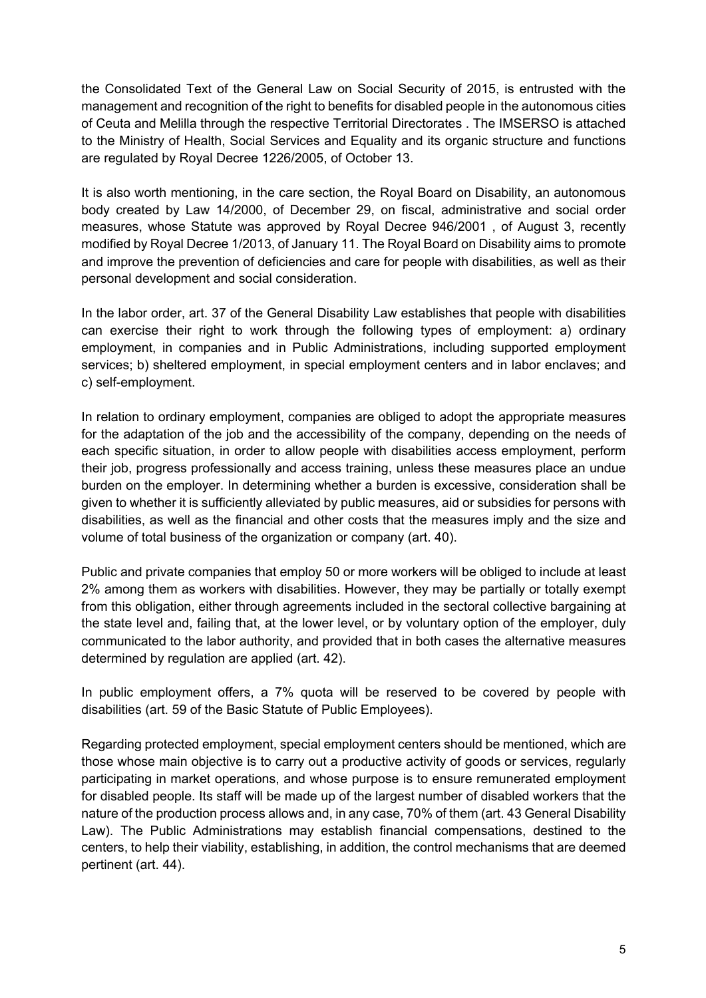the Consolidated Text of the General Law on Social Security of 2015, is entrusted with the management and recognition of the right to benefits for disabled people in the autonomous cities of Ceuta and Melilla through the respective Territorial Directorates . The IMSERSO is attached to the Ministry of Health, Social Services and Equality and its organic structure and functions are regulated by Royal Decree 1226/2005, of October 13.

It is also worth mentioning, in the care section, the Royal Board on Disability, an autonomous body created by Law 14/2000, of December 29, on fiscal, administrative and social order measures, whose Statute was approved by Royal Decree 946/2001 , of August 3, recently modified by Royal Decree 1/2013, of January 11. The Royal Board on Disability aims to promote and improve the prevention of deficiencies and care for people with disabilities, as well as their personal development and social consideration.

In the labor order, art. 37 of the General Disability Law establishes that people with disabilities can exercise their right to work through the following types of employment: a) ordinary employment, in companies and in Public Administrations, including supported employment services; b) sheltered employment, in special employment centers and in labor enclaves; and c) self-employment.

In relation to ordinary employment, companies are obliged to adopt the appropriate measures for the adaptation of the job and the accessibility of the company, depending on the needs of each specific situation, in order to allow people with disabilities access employment, perform their job, progress professionally and access training, unless these measures place an undue burden on the employer. In determining whether a burden is excessive, consideration shall be given to whether it is sufficiently alleviated by public measures, aid or subsidies for persons with disabilities, as well as the financial and other costs that the measures imply and the size and volume of total business of the organization or company (art. 40).

Public and private companies that employ 50 or more workers will be obliged to include at least 2% among them as workers with disabilities. However, they may be partially or totally exempt from this obligation, either through agreements included in the sectoral collective bargaining at the state level and, failing that, at the lower level, or by voluntary option of the employer, duly communicated to the labor authority, and provided that in both cases the alternative measures determined by regulation are applied (art. 42).

In public employment offers, a 7% quota will be reserved to be covered by people with disabilities (art. 59 of the Basic Statute of Public Employees).

Regarding protected employment, special employment centers should be mentioned, which are those whose main objective is to carry out a productive activity of goods or services, regularly participating in market operations, and whose purpose is to ensure remunerated employment for disabled people. Its staff will be made up of the largest number of disabled workers that the nature of the production process allows and, in any case, 70% of them (art. 43 General Disability Law). The Public Administrations may establish financial compensations, destined to the centers, to help their viability, establishing, in addition, the control mechanisms that are deemed pertinent (art. 44).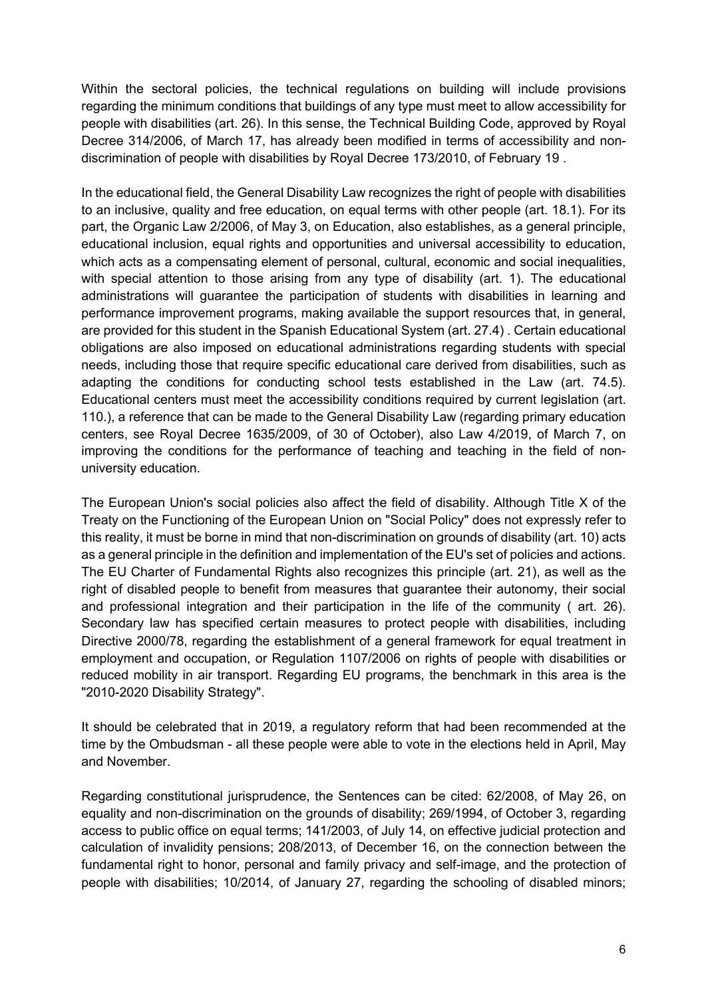Within the sectoral policies, the technical regulations on building will include provisions regarding the minimum conditions that buildings of any type must meet to allow accessibility for people with disabilities (art. 26). In this sense, the Technical Building Code, approved by Royal Decree 314/2006, of March 17, has already been modified in terms of accessibility and nondiscrimination of people with disabilities by Royal Decree 173/2010, of February 19 .

In the educational field, the General Disability Law recognizes the right of people with disabilities to an inclusive, quality and free education, on equal terms with other people (art. 18.1). For its part, the Organic Law 2/2006, of May 3, on Education, also establishes, as a general principle, educational inclusion, equal rights and opportunities and universal accessibility to education, which acts as a compensating element of personal, cultural, economic and social inequalities, with special attention to those arising from any type of disability (art. 1). The educational administrations will guarantee the participation of students with disabilities in learning and performance improvement programs, making available the support resources that, in general, are provided for this student in the Spanish Educational System (art. 27.4) . Certain educational obligations are also imposed on educational administrations regarding students with special needs, including those that require specific educational care derived from disabilities, such as adapting the conditions for conducting school tests established in the Law (art. 74.5). Educational centers must meet the accessibility conditions required by current legislation (art. 110.), a reference that can be made to the General Disability Law (regarding primary education centers, see Royal Decree 1635/2009, of 30 of October), also Law 4/2019, of March 7, on improving the conditions for the performance of teaching and teaching in the field of nonuniversity education.

The European Union's social policies also affect the field of disability. Although Title X of the Treaty on the Functioning of the European Union on "Social Policy" does not expressly refer to this reality, it must be borne in mind that non-discrimination on grounds of disability (art. 10) acts as a general principle in the definition and implementation of the EU's set of policies and actions. The EU Charter of Fundamental Rights also recognizes this principle (art. 21), as well as the right of disabled people to benefit from measures that guarantee their autonomy, their social and professional integration and their participation in the life of the community ( art. 26). Secondary law has specified certain measures to protect people with disabilities, including Directive 2000/78, regarding the establishment of a general framework for equal treatment in employment and occupation, or Regulation 1107/2006 on rights of people with disabilities or reduced mobility in air transport. Regarding EU programs, the benchmark in this area is the "2010-2020 Disability Strategy".

It should be celebrated that in 2019, a regulatory reform that had been recommended at the time by the Ombudsman - all these people were able to vote in the elections held in April, May and November.

Regarding constitutional jurisprudence, the Sentences can be cited: 62/2008, of May 26, on equality and non-discrimination on the grounds of disability; 269/1994, of October 3, regarding access to public office on equal terms; 141/2003, of July 14, on effective judicial protection and calculation of invalidity pensions; 208/2013, of December 16, on the connection between the fundamental right to honor, personal and family privacy and self-image, and the protection of people with disabilities; 10/2014, of January 27, regarding the schooling of disabled minors;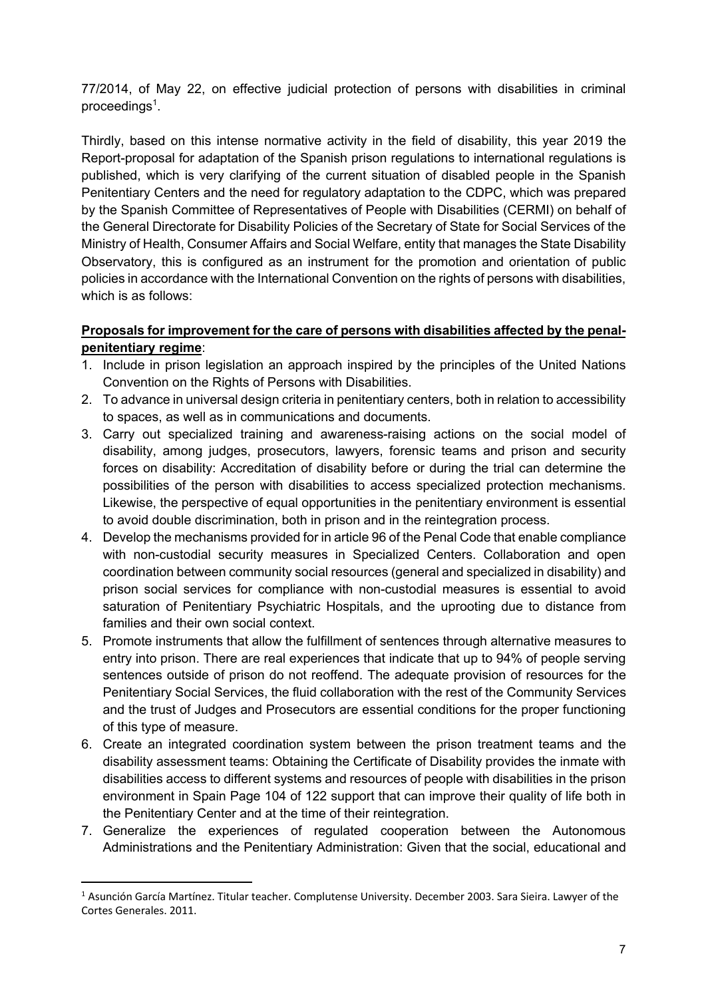77/2014, of May 22, on effective judicial protection of persons with disabilities in criminal proceedings<sup>1</sup>.

Thirdly, based on this intense normative activity in the field of disability, this year 2019 the Report-proposal for adaptation of the Spanish prison regulations to international regulations is published, which is very clarifying of the current situation of disabled people in the Spanish Penitentiary Centers and the need for regulatory adaptation to the CDPC, which was prepared by the Spanish Committee of Representatives of People with Disabilities (CERMI) on behalf of the General Directorate for Disability Policies of the Secretary of State for Social Services of the Ministry of Health, Consumer Affairs and Social Welfare, entity that manages the State Disability Observatory, this is configured as an instrument for the promotion and orientation of public policies in accordance with the International Convention on the rights of persons with disabilities, which is as follows:

# **Proposals for improvement for the care of persons with disabilities affected by the penalpenitentiary regime**:

- 1. Include in prison legislation an approach inspired by the principles of the United Nations Convention on the Rights of Persons with Disabilities.
- 2. To advance in universal design criteria in penitentiary centers, both in relation to accessibility to spaces, as well as in communications and documents.
- 3. Carry out specialized training and awareness-raising actions on the social model of disability, among judges, prosecutors, lawyers, forensic teams and prison and security forces on disability: Accreditation of disability before or during the trial can determine the possibilities of the person with disabilities to access specialized protection mechanisms. Likewise, the perspective of equal opportunities in the penitentiary environment is essential to avoid double discrimination, both in prison and in the reintegration process.
- 4. Develop the mechanisms provided for in article 96 of the Penal Code that enable compliance with non-custodial security measures in Specialized Centers. Collaboration and open coordination between community social resources (general and specialized in disability) and prison social services for compliance with non-custodial measures is essential to avoid saturation of Penitentiary Psychiatric Hospitals, and the uprooting due to distance from families and their own social context.
- 5. Promote instruments that allow the fulfillment of sentences through alternative measures to entry into prison. There are real experiences that indicate that up to 94% of people serving sentences outside of prison do not reoffend. The adequate provision of resources for the Penitentiary Social Services, the fluid collaboration with the rest of the Community Services and the trust of Judges and Prosecutors are essential conditions for the proper functioning of this type of measure.
- 6. Create an integrated coordination system between the prison treatment teams and the disability assessment teams: Obtaining the Certificate of Disability provides the inmate with disabilities access to different systems and resources of people with disabilities in the prison environment in Spain Page 104 of 122 support that can improve their quality of life both in the Penitentiary Center and at the time of their reintegration.
- 7. Generalize the experiences of regulated cooperation between the Autonomous Administrations and the Penitentiary Administration: Given that the social, educational and

<sup>1</sup> Asunción García Martínez. Titular teacher. Complutense University. December 2003. Sara Sieira. Lawyer of the Cortes Generales. 2011.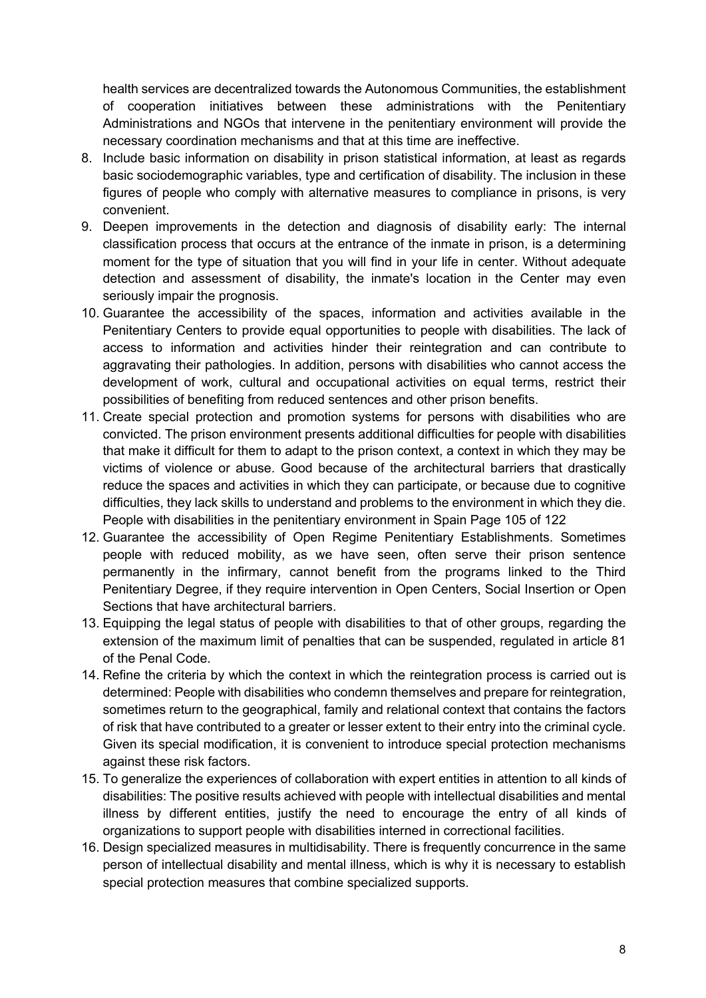health services are decentralized towards the Autonomous Communities, the establishment of cooperation initiatives between these administrations with the Penitentiary Administrations and NGOs that intervene in the penitentiary environment will provide the necessary coordination mechanisms and that at this time are ineffective.

- 8. Include basic information on disability in prison statistical information, at least as regards basic sociodemographic variables, type and certification of disability. The inclusion in these figures of people who comply with alternative measures to compliance in prisons, is very convenient.
- 9. Deepen improvements in the detection and diagnosis of disability early: The internal classification process that occurs at the entrance of the inmate in prison, is a determining moment for the type of situation that you will find in your life in center. Without adequate detection and assessment of disability, the inmate's location in the Center may even seriously impair the prognosis.
- 10. Guarantee the accessibility of the spaces, information and activities available in the Penitentiary Centers to provide equal opportunities to people with disabilities. The lack of access to information and activities hinder their reintegration and can contribute to aggravating their pathologies. In addition, persons with disabilities who cannot access the development of work, cultural and occupational activities on equal terms, restrict their possibilities of benefiting from reduced sentences and other prison benefits.
- 11. Create special protection and promotion systems for persons with disabilities who are convicted. The prison environment presents additional difficulties for people with disabilities that make it difficult for them to adapt to the prison context, a context in which they may be victims of violence or abuse. Good because of the architectural barriers that drastically reduce the spaces and activities in which they can participate, or because due to cognitive difficulties, they lack skills to understand and problems to the environment in which they die. People with disabilities in the penitentiary environment in Spain Page 105 of 122
- 12. Guarantee the accessibility of Open Regime Penitentiary Establishments. Sometimes people with reduced mobility, as we have seen, often serve their prison sentence permanently in the infirmary, cannot benefit from the programs linked to the Third Penitentiary Degree, if they require intervention in Open Centers, Social Insertion or Open Sections that have architectural barriers.
- 13. Equipping the legal status of people with disabilities to that of other groups, regarding the extension of the maximum limit of penalties that can be suspended, regulated in article 81 of the Penal Code.
- 14. Refine the criteria by which the context in which the reintegration process is carried out is determined: People with disabilities who condemn themselves and prepare for reintegration, sometimes return to the geographical, family and relational context that contains the factors of risk that have contributed to a greater or lesser extent to their entry into the criminal cycle. Given its special modification, it is convenient to introduce special protection mechanisms against these risk factors.
- 15. To generalize the experiences of collaboration with expert entities in attention to all kinds of disabilities: The positive results achieved with people with intellectual disabilities and mental illness by different entities, justify the need to encourage the entry of all kinds of organizations to support people with disabilities interned in correctional facilities.
- 16. Design specialized measures in multidisability. There is frequently concurrence in the same person of intellectual disability and mental illness, which is why it is necessary to establish special protection measures that combine specialized supports.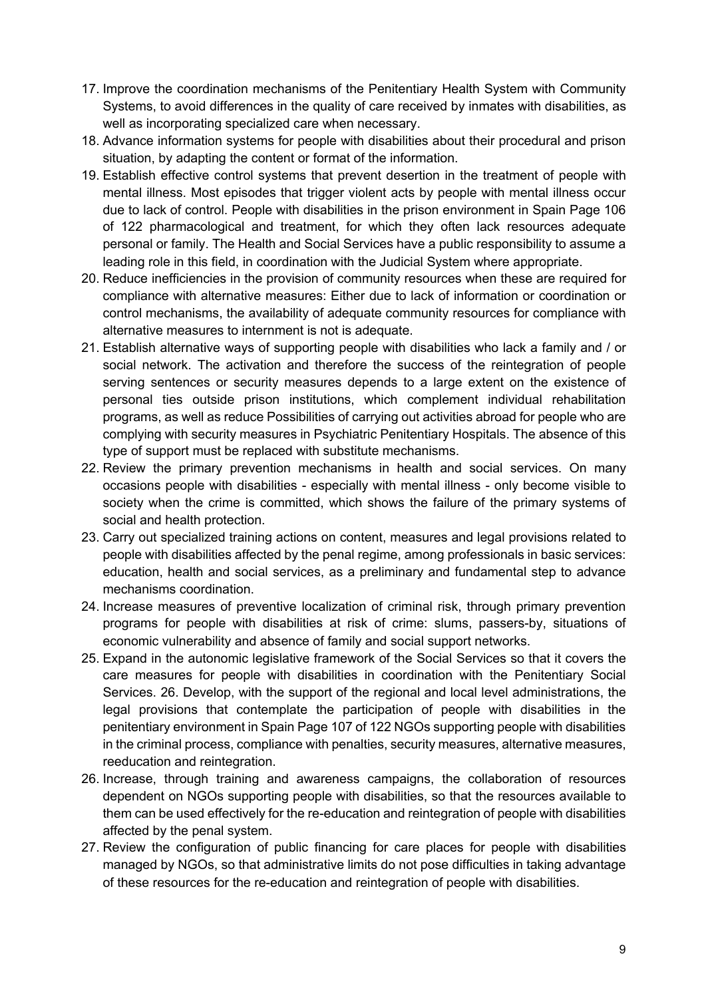- 17. Improve the coordination mechanisms of the Penitentiary Health System with Community Systems, to avoid differences in the quality of care received by inmates with disabilities, as well as incorporating specialized care when necessary.
- 18. Advance information systems for people with disabilities about their procedural and prison situation, by adapting the content or format of the information.
- 19. Establish effective control systems that prevent desertion in the treatment of people with mental illness. Most episodes that trigger violent acts by people with mental illness occur due to lack of control. People with disabilities in the prison environment in Spain Page 106 of 122 pharmacological and treatment, for which they often lack resources adequate personal or family. The Health and Social Services have a public responsibility to assume a leading role in this field, in coordination with the Judicial System where appropriate.
- 20. Reduce inefficiencies in the provision of community resources when these are required for compliance with alternative measures: Either due to lack of information or coordination or control mechanisms, the availability of adequate community resources for compliance with alternative measures to internment is not is adequate.
- 21. Establish alternative ways of supporting people with disabilities who lack a family and / or social network. The activation and therefore the success of the reintegration of people serving sentences or security measures depends to a large extent on the existence of personal ties outside prison institutions, which complement individual rehabilitation programs, as well as reduce Possibilities of carrying out activities abroad for people who are complying with security measures in Psychiatric Penitentiary Hospitals. The absence of this type of support must be replaced with substitute mechanisms.
- 22. Review the primary prevention mechanisms in health and social services. On many occasions people with disabilities - especially with mental illness - only become visible to society when the crime is committed, which shows the failure of the primary systems of social and health protection.
- 23. Carry out specialized training actions on content, measures and legal provisions related to people with disabilities affected by the penal regime, among professionals in basic services: education, health and social services, as a preliminary and fundamental step to advance mechanisms coordination.
- 24. Increase measures of preventive localization of criminal risk, through primary prevention programs for people with disabilities at risk of crime: slums, passers-by, situations of economic vulnerability and absence of family and social support networks.
- 25. Expand in the autonomic legislative framework of the Social Services so that it covers the care measures for people with disabilities in coordination with the Penitentiary Social Services. 26. Develop, with the support of the regional and local level administrations, the legal provisions that contemplate the participation of people with disabilities in the penitentiary environment in Spain Page 107 of 122 NGOs supporting people with disabilities in the criminal process, compliance with penalties, security measures, alternative measures, reeducation and reintegration.
- 26. Increase, through training and awareness campaigns, the collaboration of resources dependent on NGOs supporting people with disabilities, so that the resources available to them can be used effectively for the re-education and reintegration of people with disabilities affected by the penal system.
- 27. Review the configuration of public financing for care places for people with disabilities managed by NGOs, so that administrative limits do not pose difficulties in taking advantage of these resources for the re-education and reintegration of people with disabilities.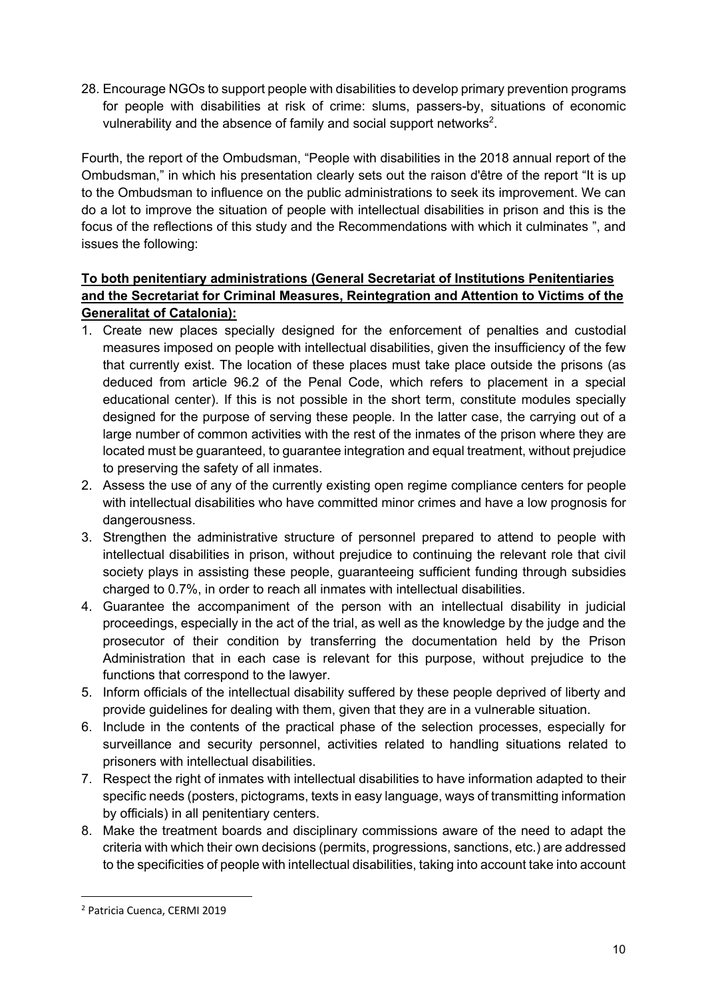28. Encourage NGOs to support people with disabilities to develop primary prevention programs for people with disabilities at risk of crime: slums, passers-by, situations of economic vulnerability and the absence of family and social support networks<sup>2</sup>.

Fourth, the report of the Ombudsman, "People with disabilities in the 2018 annual report of the Ombudsman," in which his presentation clearly sets out the raison d'être of the report "It is up to the Ombudsman to influence on the public administrations to seek its improvement. We can do a lot to improve the situation of people with intellectual disabilities in prison and this is the focus of the reflections of this study and the Recommendations with which it culminates ", and issues the following:

# **To both penitentiary administrations (General Secretariat of Institutions Penitentiaries and the Secretariat for Criminal Measures, Reintegration and Attention to Victims of the Generalitat of Catalonia):**

- 1. Create new places specially designed for the enforcement of penalties and custodial measures imposed on people with intellectual disabilities, given the insufficiency of the few that currently exist. The location of these places must take place outside the prisons (as deduced from article 96.2 of the Penal Code, which refers to placement in a special educational center). If this is not possible in the short term, constitute modules specially designed for the purpose of serving these people. In the latter case, the carrying out of a large number of common activities with the rest of the inmates of the prison where they are located must be guaranteed, to guarantee integration and equal treatment, without prejudice to preserving the safety of all inmates.
- 2. Assess the use of any of the currently existing open regime compliance centers for people with intellectual disabilities who have committed minor crimes and have a low prognosis for dangerousness.
- 3. Strengthen the administrative structure of personnel prepared to attend to people with intellectual disabilities in prison, without prejudice to continuing the relevant role that civil society plays in assisting these people, guaranteeing sufficient funding through subsidies charged to 0.7%, in order to reach all inmates with intellectual disabilities.
- 4. Guarantee the accompaniment of the person with an intellectual disability in judicial proceedings, especially in the act of the trial, as well as the knowledge by the judge and the prosecutor of their condition by transferring the documentation held by the Prison Administration that in each case is relevant for this purpose, without prejudice to the functions that correspond to the lawyer.
- 5. Inform officials of the intellectual disability suffered by these people deprived of liberty and provide guidelines for dealing with them, given that they are in a vulnerable situation.
- 6. Include in the contents of the practical phase of the selection processes, especially for surveillance and security personnel, activities related to handling situations related to prisoners with intellectual disabilities.
- 7. Respect the right of inmates with intellectual disabilities to have information adapted to their specific needs (posters, pictograms, texts in easy language, ways of transmitting information by officials) in all penitentiary centers.
- 8. Make the treatment boards and disciplinary commissions aware of the need to adapt the criteria with which their own decisions (permits, progressions, sanctions, etc.) are addressed to the specificities of people with intellectual disabilities, taking into account take into account

<sup>2</sup> Patricia Cuenca, CERMI 2019